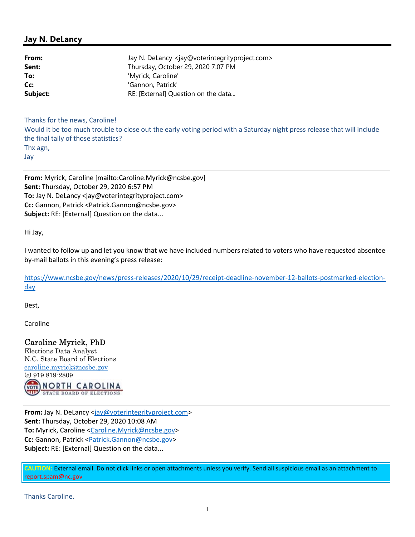#### Jay N. DeLancy

| From:    | Jay N. DeLancy <jay@voterintegrityproject.com></jay@voterintegrityproject.com> |
|----------|--------------------------------------------------------------------------------|
| Sent:    | Thursday, October 29, 2020 7:07 PM                                             |
| To:      | 'Myrick, Caroline'                                                             |
| Cc:      | 'Gannon, Patrick'                                                              |
| Subject: | RE: [External] Question on the data                                            |

Thanks for the news, Caroline! Would it be too much trouble to close out the early voting period with a Saturday night press release that will include the final tally of those statistics? Thx agn, Jay

From: Myrick, Caroline [mailto:Caroline.Myrick@ncsbe.gov] Sent: Thursday, October 29, 2020 6:57 PM To: Jay N. DeLancy <jay@voterintegrityproject.com> Cc: Gannon, Patrick <Patrick.Gannon@ncsbe.gov> Subject: RE: [External] Question on the data...

Hi Jay,

I wanted to follow up and let you know that we have included numbers related to voters who have requested absentee by-mail ballots in this evening's press release:

https://www.ncsbe.gov/news/press-releases/2020/10/29/receipt-deadline-november-12-ballots-postmarked-electionday

Best,

Caroline

### Caroline Myrick, PhD

Elections Data Analyst N.C. State Board of Elections caroline.myrick@ncsbe.gov (c) 919 819-2809  $\frac{1}{\sqrt{2}}$ **NORTH CAROLINA STATE BOARD OF ELECTIONS** 

From: Jay N. DeLancy <jay@voterintegrityproject.com> Sent: Thursday, October 29, 2020 10:08 AM To: Myrick, Caroline <Caroline.Myrick@ncsbe.gov> Cc: Gannon, Patrick <Patrick.Gannon@ncsbe.gov> Subject: RE: [External] Question on the data...

CAUTION: External email. Do not click links or open attachments unless you verify. Send all suspicious email as an attachment to report.spam@nc.gov

Thanks Caroline.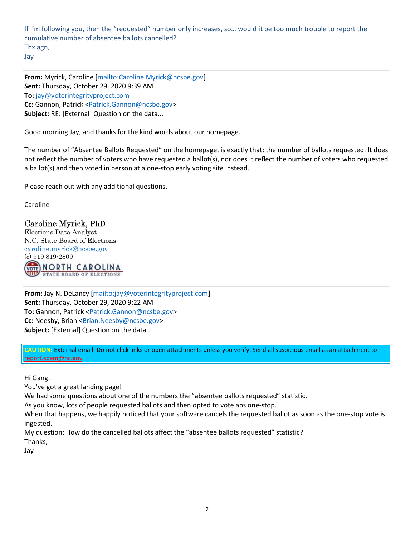If I'm following you, then the "requested" number only increases, so… would it be too much trouble to report the cumulative number of absentee ballots cancelled? Thx agn, Jay

From: Myrick, Caroline [mailto:Caroline.Myrick@ncsbe.gov] Sent: Thursday, October 29, 2020 9:39 AM To: jay@voterintegrityproject.com Cc: Gannon, Patrick <Patrick.Gannon@ncsbe.gov> Subject: RE: [External] Question on the data...

Good morning Jay, and thanks for the kind words about our homepage.

The number of "Absentee Ballots Requested" on the homepage, is exactly that: the number of ballots requested. It does not reflect the number of voters who have requested a ballot(s), nor does it reflect the number of voters who requested a ballot(s) and then voted in person at a one-stop early voting site instead.

Please reach out with any additional questions.

Caroline

#### Caroline Myrick, PhD

Elections Data Analyst N.C. State Board of Elections caroline.myrick@ncsbe.gov (c) 919 819-2809 NORTH CAROLINA **STATE BOARD OF ELECTIONS** 

From: Jay N. DeLancy [mailto:jay@voterintegrityproject.com] Sent: Thursday, October 29, 2020 9:22 AM To: Gannon, Patrick <Patrick.Gannon@ncsbe.gov> Cc: Neesby, Brian <**Brian.Neesby@ncsbe.gov>** Subject: [External] Question on the data...

CAUTION: External email. Do not click links or open attachments unless you verify. Send all suspicious email as an attachment to report.spam@nc.gov

Hi Gang.

You've got a great landing page!

We had some questions about one of the numbers the "absentee ballots requested" statistic.

As you know, lots of people requested ballots and then opted to vote abs one-stop.

When that happens, we happily noticed that your software cancels the requested ballot as soon as the one-stop vote is ingested.

My question: How do the cancelled ballots affect the "absentee ballots requested" statistic? Thanks,

Jay